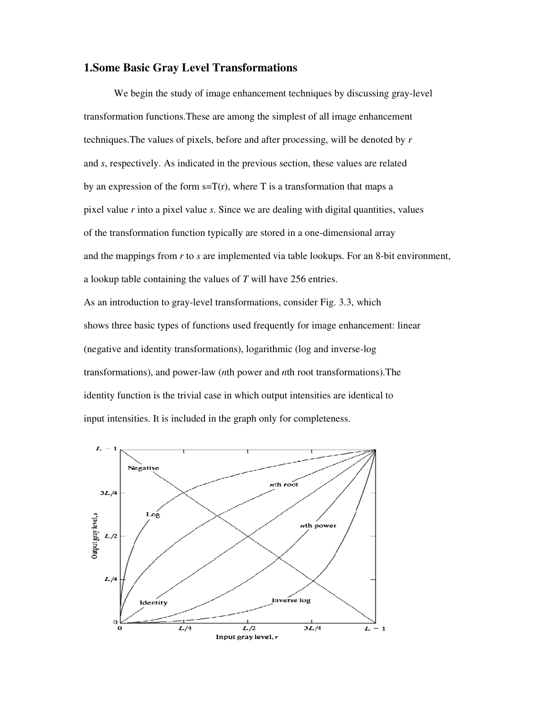# **1.Some Basic Gray Level Transformations Some**

We begin the study of image enhancement techniques by discussing gray-level transformation functions.These are among the simplest of all image enhancement transformation functions. These are among the simplest of all image enhancement<br>techniques. The values of pixels, before and after processing, will be denoted by r and *s*, respectively. As indicated in the previous section, these values are related by an expression of the form  $s=T(r)$ , where T is a transformation that maps a pixel value *r* into a pixel value *s*. Since we are dealing with digital quantities, values of the transformation function typically are stored in a one and the mappings from  $r$  to  $s$  are implemented via table lookups. For an 8-bit environment, a lookup table containing the values of T will have 256 entries. As an introduction to gray-level transformations, consider Fig. 3.3, which shows three basic types of functions used frequently for image enhancement: linear (negative and identity transformations), logarithmic ( transformations), and power-law (*n*th power and *n*th root transformations). The identity function is the trivial case in which output intensities are identical to input intensities. It is included in the graph only for completeness. functions. These are among the simplest of all image enhancem<br>The values of pixels, before and after processing, will be denoted b<br>ectively. As indicated in the previous section, these values are related<br>sion of the form level transformations, consider Fig. 3.3, which<br>functions used frequently for image enhancem<br>formations), logarithmic (log and inverse-log

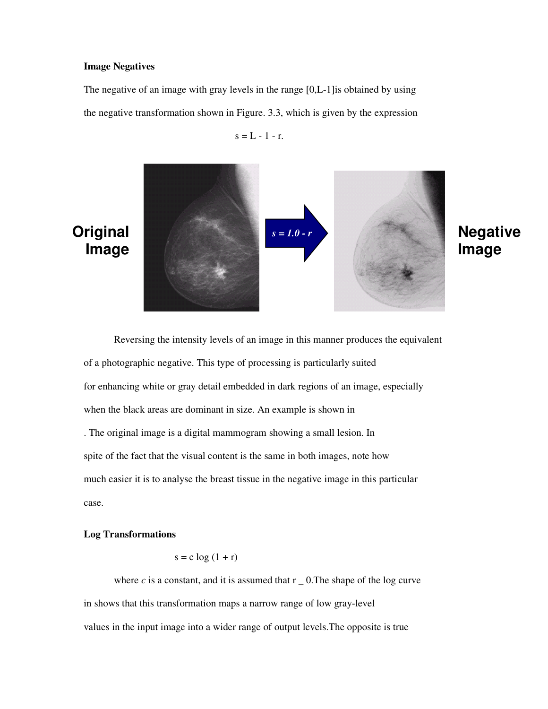#### **Image Negatives**

The negative of an image with gray levels in the range [0,L-1]is obtained by using the negative transformation shown in Figure. 3.3, which is given by the expression

 $s = L - 1 - r$ .



# **Negative Image**

 Reversing the intensity levels of an image in this manner produces the equivalent of a photographic negative. This type of processing is particularly suited for enhancing white or gray detail embedded in dark regions of an image, especially when the black areas are dominant in size. An example is shown in . The original image is a digital mammogram showing a small lesion. In spite of the fact that the visual content is the same in both images, note how much easier it is to analyse the breast tissue in the negative image in this particular case.

#### **Log Transformations**

## $s = c \log (1 + r)$

where  $c$  is a constant, and it is assumed that  $r_0$ . The shape of the log curve in shows that this transformation maps a narrow range of low gray-level values in the input image into a wider range of output levels.The opposite is true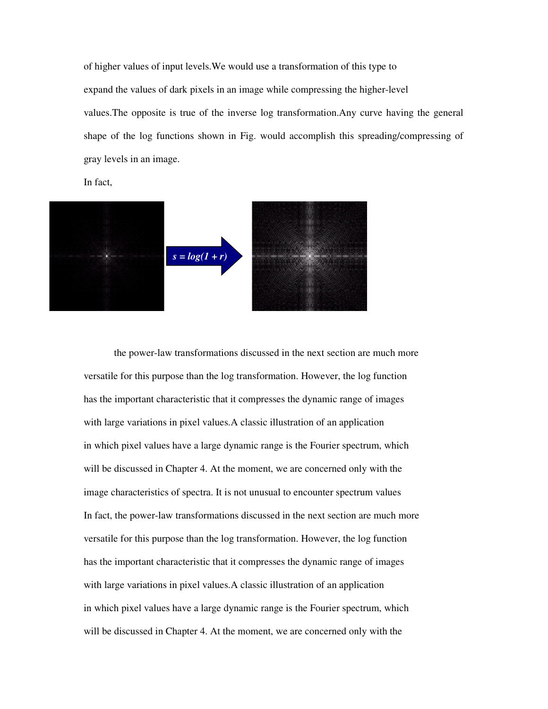of higher values of input levels.We would use a transformation of this type to expand the values of dark pixels in an image while compressing the higher-level values.The opposite is true of the inverse log transformation.Any curve having the general shape of the log functions shown in Fig. would accomplish this spreading/compressing of gray levels in an image.

In fact,



the power-law transformations discussed in the next section are much more versatile for this purpose than the log transformation. However, the log function has the important characteristic that it compresses the dynamic range of images with large variations in pixel values. A classic illustration of an application in which pixel values have a large dynamic range is the Fourier spectrum, which will be discussed in Chapter 4. At the moment, we are concerned only with the image characteristics of spectra. It is not unusual to encounter spectrum values In fact, the power-law transformations discussed in the next section are much more versatile for this purpose than the log transformation. However, the log function has the important characteristic that it compresses the dynamic range of images with large variations in pixel values. A classic illustration of an application in which pixel values have a large dynamic range is the Fourier spectrum, which will be discussed in Chapter 4. At the moment, we are concerned only with the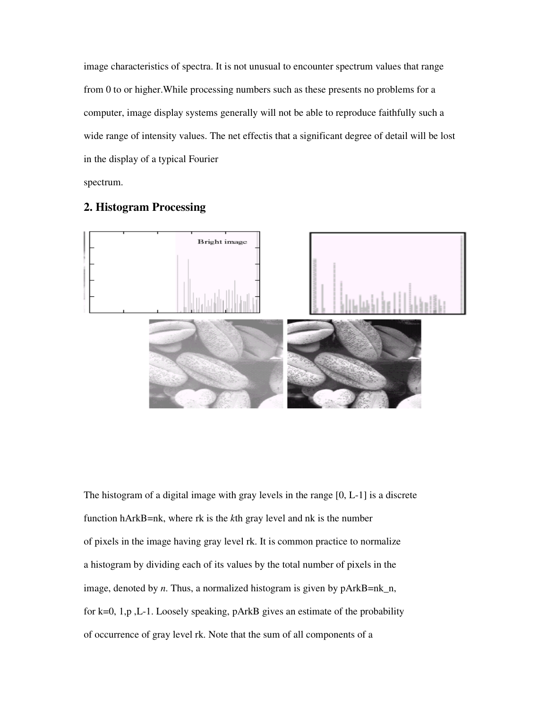image characteristics of spectra. It is not unusual to encounter spectrum values that range from 0 to or higher.While processing numbers such as these presents no problems for a computer, image display systems generally will not be able to reproduce faithfully such a wide range of intensity values. The net effectis that a significant degree of detail will be lost in the display of a typical Fourier

spectrum.



# **2. Histogram Processing**

The histogram of a digital image with gray levels in the range [0, L-1] is a discrete function hArkB=nk, where rk is the *k*th gray level and nk is the number of pixels in the image having gray level rk. It is common practice to normalize a histogram by dividing each of its values by the total number of pixels in the image, denoted by *n*. Thus, a normalized histogram is given by pArkB=nk\_n, for k=0, 1,p ,L-1. Loosely speaking, pArkB gives an estimate of the probability of occurrence of gray level rk. Note that the sum of all components of a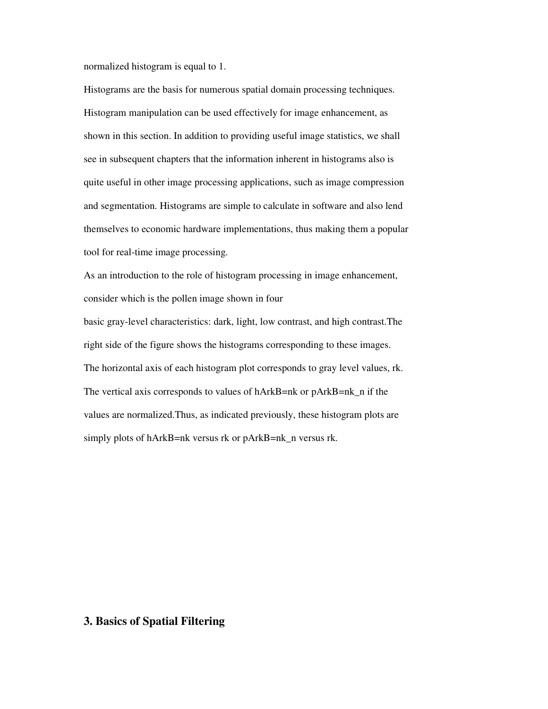normalized histogram is equal to 1.

Histograms are the basis for numerous spatial domain processing techniques. Histogram manipulation can be used effectively for image enhancement, as shown in this section. In addition to providing useful image statistics, we shall see in subsequent chapters that the information inherent in histograms also is quite useful in other image processing applications, such as image compression and segmentation. Histograms are simple to calculate in software and also lend themselves to economic hardware implementations, thus making them a popular tool for real-time image processing.

As an introduction to the role of histogram processing in image enhancement, consider which is the pollen image shown in four

basic gray-level characteristics: dark, light, low contrast, and high contrast.The right side of the figure shows the histograms corresponding to these images. The horizontal axis of each histogram plot corresponds to gray level values, rk. The vertical axis corresponds to values of hArkB=nk or pArkB=nk\_n if the values are normalized.Thus, as indicated previously, these histogram plots are simply plots of hArkB=nk versus rk or pArkB=nk\_n versus rk.

# **3. Basics of Spatial Filtering**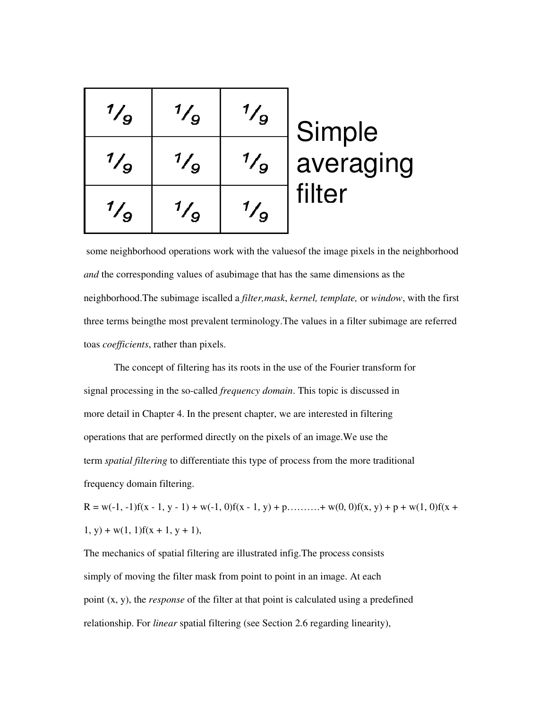| $\frac{1}{9}$ | $\frac{1}{Q}$ | $\frac{1}{9}$ | Simple              |
|---------------|---------------|---------------|---------------------|
| $\frac{1}{9}$ | $\frac{1}{9}$ | $\frac{1}{9}$ | averaging<br>filter |
| $\frac{1}{9}$ |               | $\frac{1}{q}$ |                     |

 some neighborhood operations work with the valuesof the image pixels in the neighborhood *and* the corresponding values of asubimage that has the same dimensions as the neighborhood.The subimage iscalled a *filter,mask*, *kernel, template,* or *window*, with the first three terms beingthe most prevalent terminology.The values in a filter subimage are referred toas *coefficients*, rather than pixels.

The concept of filtering has its roots in the use of the Fourier transform for signal processing in the so-called *frequency domain*. This topic is discussed in more detail in Chapter 4. In the present chapter, we are interested in filtering operations that are performed directly on the pixels of an image.We use the term *spatial filtering* to differentiate this type of process from the more traditional frequency domain filtering.

 $R = w(-1, -1)f(x - 1, y - 1) + w(-1, 0)f(x - 1, y) + p$ ...........+ w(0, 0)f(x, y) + p + w(1, 0)f(x +  $1, y$  + w(1, 1)f(x + 1, y + 1),

The mechanics of spatial filtering are illustrated infig.The process consists simply of moving the filter mask from point to point in an image. At each point (x, y), the *response* of the filter at that point is calculated using a predefined relationship. For *linear* spatial filtering (see Section 2.6 regarding linearity),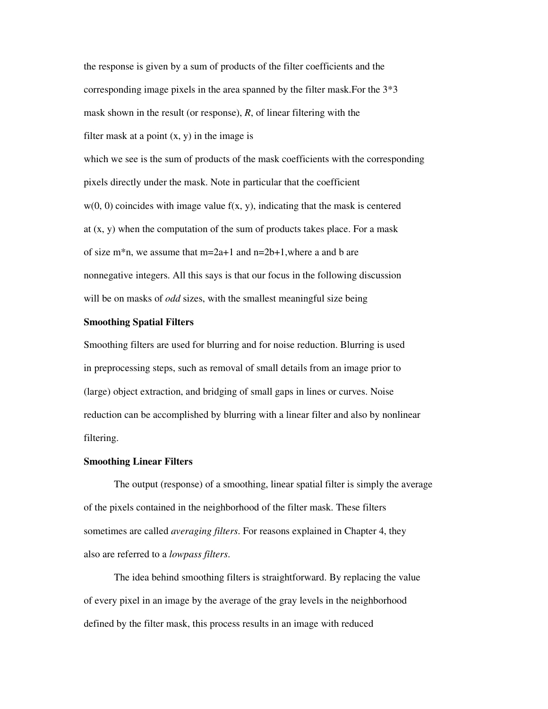the response is given by a sum of products of the filter coefficients and the corresponding image pixels in the area spanned by the filter mask.For the 3\*3 mask shown in the result (or response), *R*, of linear filtering with the filter mask at a point  $(x, y)$  in the image is

which we see is the sum of products of the mask coefficients with the corresponding pixels directly under the mask. Note in particular that the coefficient  $w(0, 0)$  coincides with image value  $f(x, y)$ , indicating that the mask is centered at  $(x, y)$  when the computation of the sum of products takes place. For a mask of size m<sup>\*</sup>n, we assume that  $m=2a+1$  and  $n=2b+1$ , where a and b are nonnegative integers. All this says is that our focus in the following discussion will be on masks of *odd* sizes, with the smallest meaningful size being

#### **Smoothing Spatial Filters**

Smoothing filters are used for blurring and for noise reduction. Blurring is used in preprocessing steps, such as removal of small details from an image prior to (large) object extraction, and bridging of small gaps in lines or curves. Noise reduction can be accomplished by blurring with a linear filter and also by nonlinear filtering.

#### **Smoothing Linear Filters**

The output (response) of a smoothing, linear spatial filter is simply the average of the pixels contained in the neighborhood of the filter mask. These filters sometimes are called *averaging filters*. For reasons explained in Chapter 4, they also are referred to a *lowpass filters*.

The idea behind smoothing filters is straightforward. By replacing the value of every pixel in an image by the average of the gray levels in the neighborhood defined by the filter mask, this process results in an image with reduced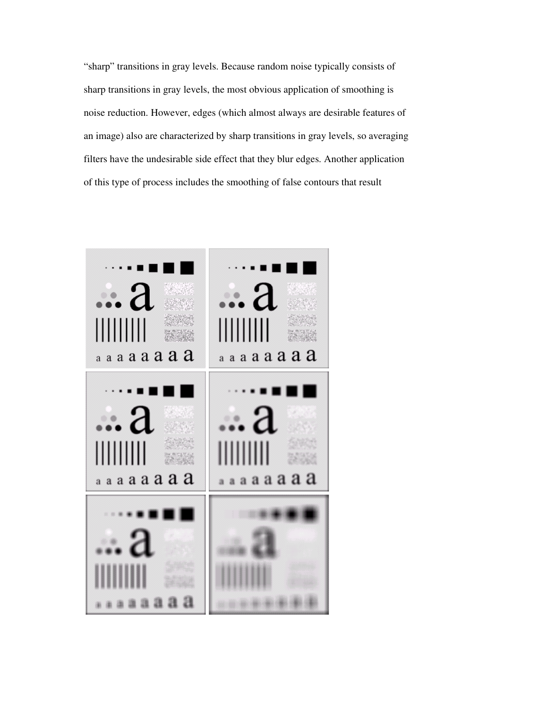"sharp" transitions in gray levels. Because random noise typically consists of sharp transitions in gray levels, the most obvious application of smoothing is noise reduction. However, edges (which almost always are desirable features of an image) also are characterized by sharp transitions in gray levels, so averaging filters have the undesirable side effect that they blur edges. Another application of this type of process includes the smoothing of false contours that result

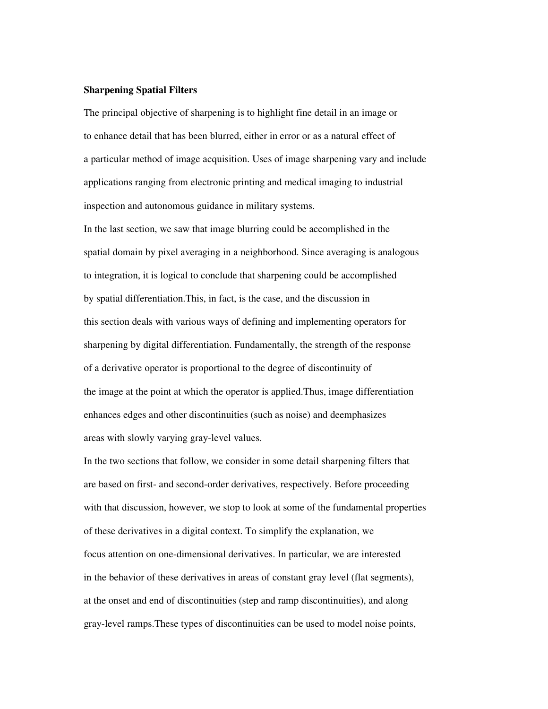#### **Sharpening Spatial Filters**

The principal objective of sharpening is to highlight fine detail in an image or to enhance detail that has been blurred, either in error or as a natural effect of a particular method of image acquisition. Uses of image sharpening vary and include applications ranging from electronic printing and medical imaging to industrial inspection and autonomous guidance in military systems.

In the last section, we saw that image blurring could be accomplished in the spatial domain by pixel averaging in a neighborhood. Since averaging is analogous to integration, it is logical to conclude that sharpening could be accomplished by spatial differentiation.This, in fact, is the case, and the discussion in this section deals with various ways of defining and implementing operators for sharpening by digital differentiation. Fundamentally, the strength of the response of a derivative operator is proportional to the degree of discontinuity of the image at the point at which the operator is applied.Thus, image differentiation enhances edges and other discontinuities (such as noise) and deemphasizes areas with slowly varying gray-level values.

In the two sections that follow, we consider in some detail sharpening filters that are based on first- and second-order derivatives, respectively. Before proceeding with that discussion, however, we stop to look at some of the fundamental properties of these derivatives in a digital context. To simplify the explanation, we focus attention on one-dimensional derivatives. In particular, we are interested in the behavior of these derivatives in areas of constant gray level (flat segments), at the onset and end of discontinuities (step and ramp discontinuities), and along gray-level ramps.These types of discontinuities can be used to model noise points,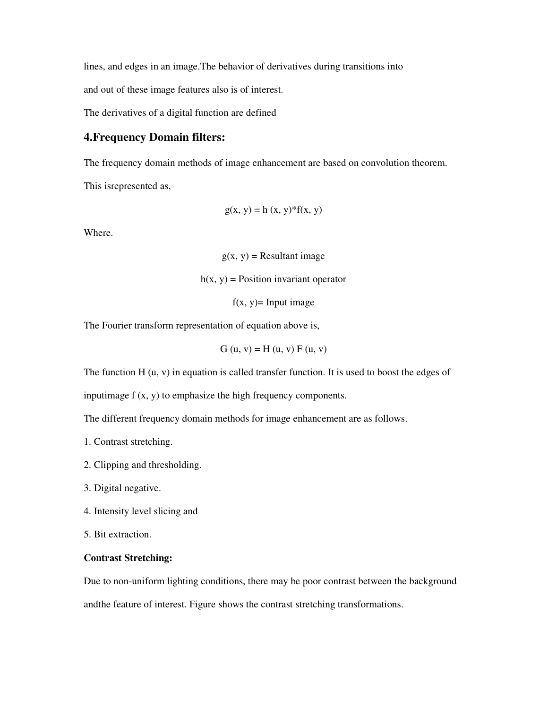lines, and edges in an image.The behavior of derivatives during transitions into

and out of these image features also is of interest.

The derivatives of a digital function are defined

# **4.Frequency Domain filters:**

The frequency domain methods of image enhancement are based on convolution theorem.

This isrepresented as,

$$
g(x, y) = h(x, y)^* f(x, y)
$$

Where.

 $g(x, y)$  = Resultant image

 $h(x, y)$  = Position invariant operator

 $f(x, y)$ = Input image

The Fourier transform representation of equation above is,

$$
G(u, v) = H(u, v) F(u, v)
$$

The function H (u, v) in equation is called transfer function. It is used to boost the edges of

inputimage f (x, y) to emphasize the high frequency components.

The different frequency domain methods for image enhancement are as follows.

- 1. Contrast stretching.
- 2. Clipping and thresholding.
- 3. Digital negative.
- 4. Intensity level slicing and

5. Bit extraction.

## **Contrast Stretching:**

Due to non-uniform lighting conditions, there may be poor contrast between the background

andthe feature of interest. Figure shows the contrast stretching transformations.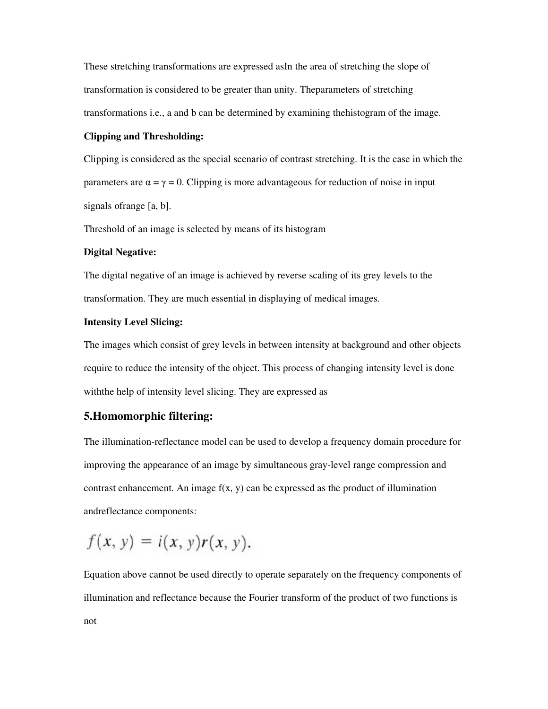These stretching transformations are expressed asIn the area of stretching the slope of transformation is considered to be greater than unity. Theparameters of stretching transformations i.e., a and b can be determined by examining thehistogram of the image.

#### **Clipping and Thresholding:**

Clipping is considered as the special scenario of contrast stretching. It is the case in which the parameters are  $\alpha = \gamma = 0$ . Clipping is more advantageous for reduction of noise in input signals ofrange [a, b].

Threshold of an image is selected by means of its histogram

#### **Digital Negative:**

The digital negative of an image is achieved by reverse scaling of its grey levels to the transformation. They are much essential in displaying of medical images.

## **Intensity Level Slicing:**

The images which consist of grey levels in between intensity at background and other objects require to reduce the intensity of the object. This process of changing intensity level is done withthe help of intensity level slicing. They are expressed as

# **5.Homomorphic filtering:**

The illumination-reflectance model can be used to develop a frequency domain procedure for improving the appearance of an image by simultaneous gray-level range compression and contrast enhancement. An image  $f(x, y)$  can be expressed as the product of illumination andreflectance components:

$$
f(x, y) = i(x, y)r(x, y).
$$

Equation above cannot be used directly to operate separately on the frequency components of illumination and reflectance because the Fourier transform of the product of two functions is not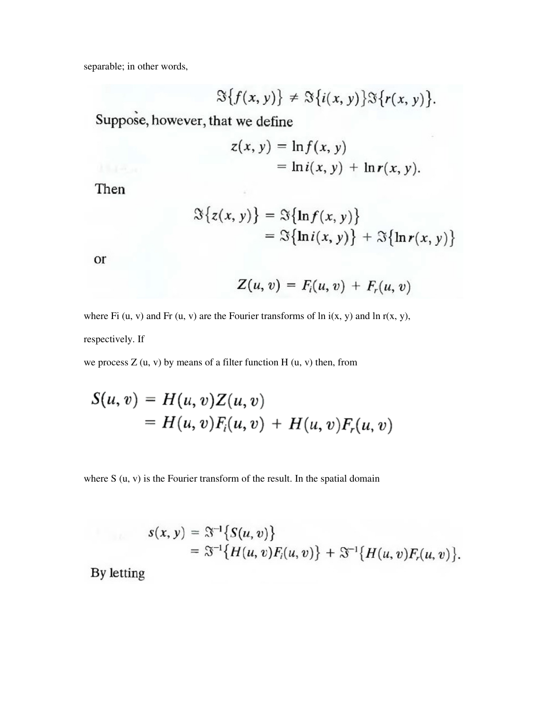separable; in other words,

$$
\mathfrak{S}\big\{f(x,y)\big\}\neq \mathfrak{S}\big\{i(x,y)\big\}\mathfrak{S}\big\{r(x,y)\big\}.
$$

Suppose, however, that we define

$$
z(x, y) = \ln f(x, y)
$$
  
=  $\ln i(x, y) + \ln r(x, y)$ .

Then

$$
\mathfrak{S}\{z(x, y)\} = \mathfrak{S}\{\ln f(x, y)\}
$$
  
=  $\mathfrak{S}\{\ln i(x, y)\} + \mathfrak{S}\{\ln r(x, y)\}\$ 

or

$$
Z(u, v) = Fi(u, v) + Fr(u, v)
$$

where Fi  $(u, v)$  and Fr  $(u, v)$  are the Fourier transforms of ln i(x, y) and ln r(x, y), respectively. If

we process  $Z(u, v)$  by means of a filter function  $H(u, v)$  then, from

$$
S(u, v) = H(u, v)Z(u, v)
$$
  
=  $H(u, v)F_i(u, v) + H(u, v)F_r(u, v)$ 

where S (u, v) is the Fourier transform of the result. In the spatial domain

$$
s(x, y) = \mathfrak{F}^{-1}\big\{S(u, v)\big\}
$$
  
=  $\mathfrak{F}^{-1}\big\{H(u, v)F_i(u, v)\big\} + \mathfrak{F}^{-1}\big\{H(u, v)F_i(u, v)\big\}.$ 

By letting